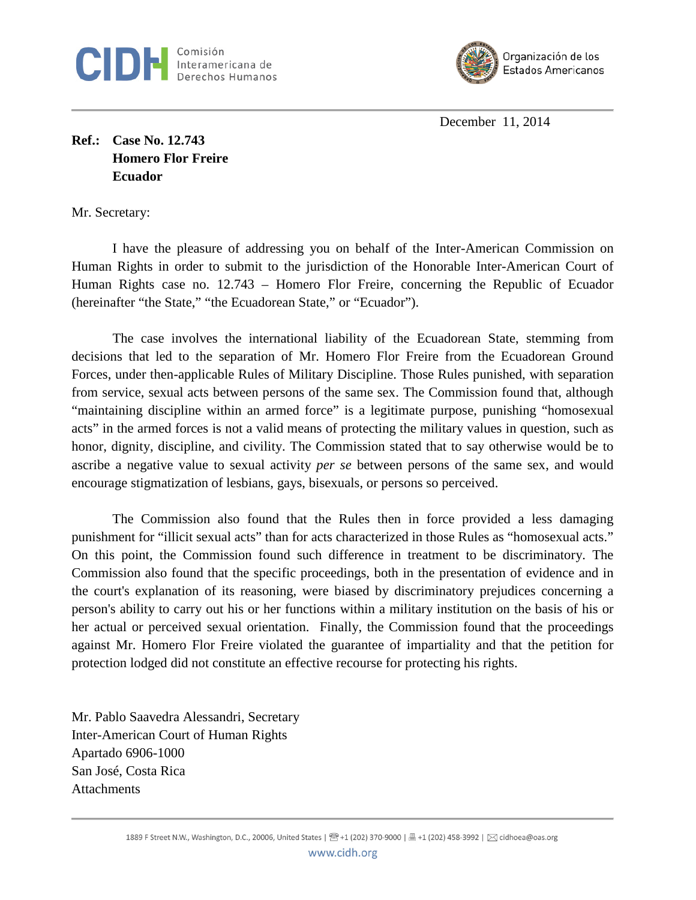



December 11, 2014

**Ref.: Case No. 12.743 Homero Flor Freire Ecuador** 

Mr. Secretary:

I have the pleasure of addressing you on behalf of the Inter-American Commission on Human Rights in order to submit to the jurisdiction of the Honorable Inter-American Court of Human Rights case no. 12.743 – Homero Flor Freire, concerning the Republic of Ecuador (hereinafter "the State," "the Ecuadorean State," or "Ecuador").

The case involves the international liability of the Ecuadorean State, stemming from decisions that led to the separation of Mr. Homero Flor Freire from the Ecuadorean Ground Forces, under then-applicable Rules of Military Discipline. Those Rules punished, with separation from service, sexual acts between persons of the same sex. The Commission found that, although "maintaining discipline within an armed force" is a legitimate purpose, punishing "homosexual acts" in the armed forces is not a valid means of protecting the military values in question, such as honor, dignity, discipline, and civility. The Commission stated that to say otherwise would be to ascribe a negative value to sexual activity *per se* between persons of the same sex, and would encourage stigmatization of lesbians, gays, bisexuals, or persons so perceived.

The Commission also found that the Rules then in force provided a less damaging punishment for "illicit sexual acts" than for acts characterized in those Rules as "homosexual acts." On this point, the Commission found such difference in treatment to be discriminatory. The Commission also found that the specific proceedings, both in the presentation of evidence and in the court's explanation of its reasoning, were biased by discriminatory prejudices concerning a person's ability to carry out his or her functions within a military institution on the basis of his or her actual or perceived sexual orientation. Finally, the Commission found that the proceedings against Mr. Homero Flor Freire violated the guarantee of impartiality and that the petition for protection lodged did not constitute an effective recourse for protecting his rights.

Mr. Pablo Saavedra Alessandri, Secretary Inter-American Court of Human Rights Apartado 6906-1000 San José, Costa Rica **Attachments**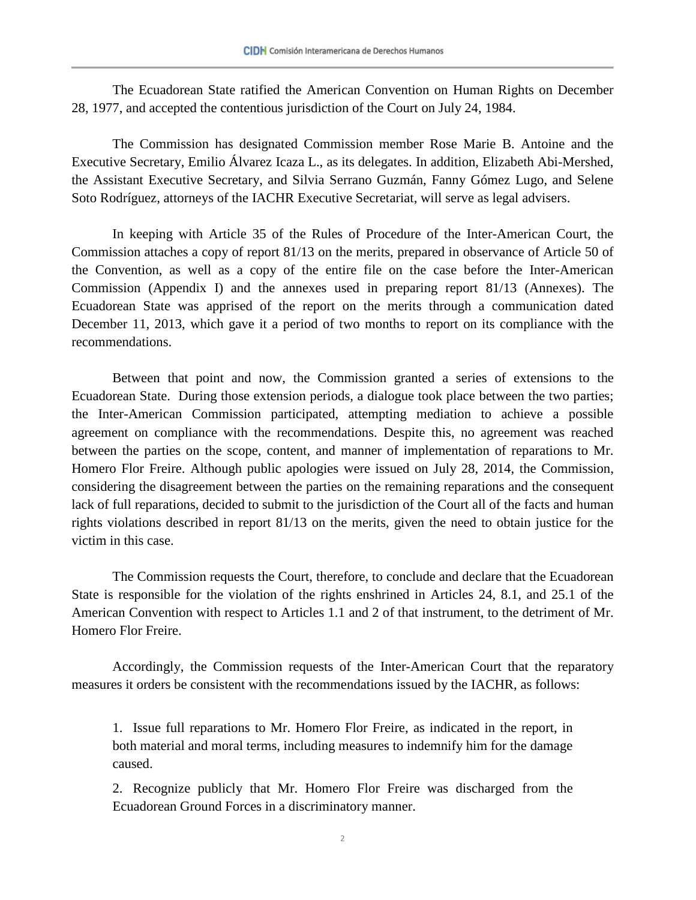The Ecuadorean State ratified the American Convention on Human Rights on December 28, 1977, and accepted the contentious jurisdiction of the Court on July 24, 1984.

The Commission has designated Commission member Rose Marie B. Antoine and the Executive Secretary, Emilio Álvarez Icaza L., as its delegates. In addition, Elizabeth Abi-Mershed, the Assistant Executive Secretary, and Silvia Serrano Guzmán, Fanny Gómez Lugo, and Selene Soto Rodríguez, attorneys of the IACHR Executive Secretariat, will serve as legal advisers.

In keeping with Article 35 of the Rules of Procedure of the Inter-American Court, the Commission attaches a copy of report 81/13 on the merits, prepared in observance of Article 50 of the Convention, as well as a copy of the entire file on the case before the Inter-American Commission (Appendix I) and the annexes used in preparing report 81/13 (Annexes). The Ecuadorean State was apprised of the report on the merits through a communication dated December 11, 2013, which gave it a period of two months to report on its compliance with the recommendations.

Between that point and now, the Commission granted a series of extensions to the Ecuadorean State. During those extension periods, a dialogue took place between the two parties; the Inter-American Commission participated, attempting mediation to achieve a possible agreement on compliance with the recommendations. Despite this, no agreement was reached between the parties on the scope, content, and manner of implementation of reparations to Mr. Homero Flor Freire. Although public apologies were issued on July 28, 2014, the Commission, considering the disagreement between the parties on the remaining reparations and the consequent lack of full reparations, decided to submit to the jurisdiction of the Court all of the facts and human rights violations described in report 81/13 on the merits, given the need to obtain justice for the victim in this case.

The Commission requests the Court, therefore, to conclude and declare that the Ecuadorean State is responsible for the violation of the rights enshrined in Articles 24, 8.1, and 25.1 of the American Convention with respect to Articles 1.1 and 2 of that instrument, to the detriment of Mr. Homero Flor Freire.

Accordingly, the Commission requests of the Inter-American Court that the reparatory measures it orders be consistent with the recommendations issued by the IACHR, as follows:

1. Issue full reparations to Mr. Homero Flor Freire, as indicated in the report, in both material and moral terms, including measures to indemnify him for the damage caused.

2. Recognize publicly that Mr. Homero Flor Freire was discharged from the Ecuadorean Ground Forces in a discriminatory manner.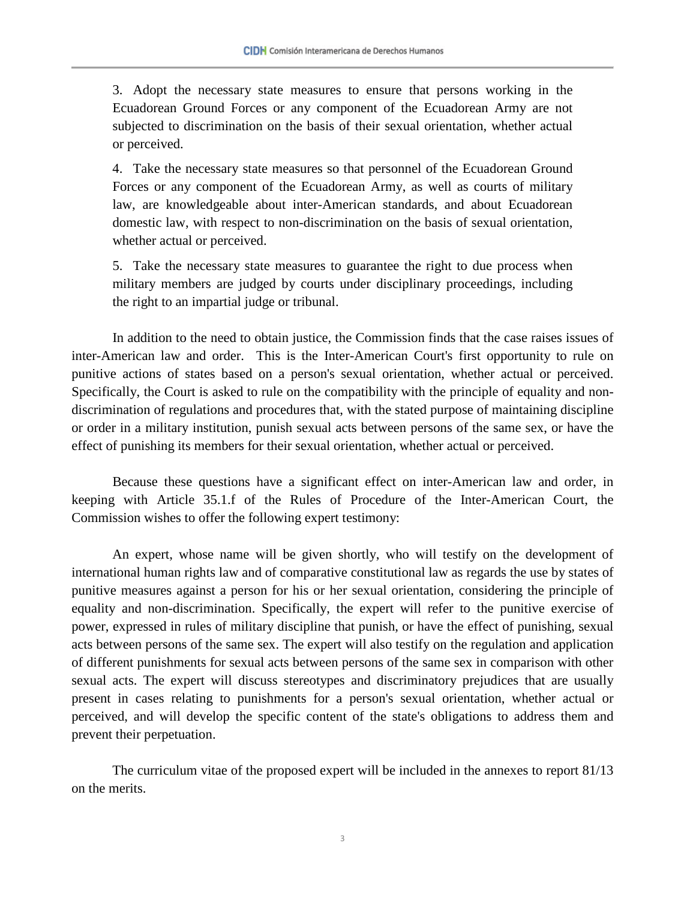3. Adopt the necessary state measures to ensure that persons working in the Ecuadorean Ground Forces or any component of the Ecuadorean Army are not subjected to discrimination on the basis of their sexual orientation, whether actual or perceived.

4. Take the necessary state measures so that personnel of the Ecuadorean Ground Forces or any component of the Ecuadorean Army, as well as courts of military law, are knowledgeable about inter-American standards, and about Ecuadorean domestic law, with respect to non-discrimination on the basis of sexual orientation, whether actual or perceived.

5. Take the necessary state measures to guarantee the right to due process when military members are judged by courts under disciplinary proceedings, including the right to an impartial judge or tribunal.

In addition to the need to obtain justice, the Commission finds that the case raises issues of inter-American law and order. This is the Inter-American Court's first opportunity to rule on punitive actions of states based on a person's sexual orientation, whether actual or perceived. Specifically, the Court is asked to rule on the compatibility with the principle of equality and nondiscrimination of regulations and procedures that, with the stated purpose of maintaining discipline or order in a military institution, punish sexual acts between persons of the same sex, or have the effect of punishing its members for their sexual orientation, whether actual or perceived.

Because these questions have a significant effect on inter-American law and order, in keeping with Article 35.1.f of the Rules of Procedure of the Inter-American Court, the Commission wishes to offer the following expert testimony:

An expert, whose name will be given shortly, who will testify on the development of international human rights law and of comparative constitutional law as regards the use by states of punitive measures against a person for his or her sexual orientation, considering the principle of equality and non-discrimination. Specifically, the expert will refer to the punitive exercise of power, expressed in rules of military discipline that punish, or have the effect of punishing, sexual acts between persons of the same sex. The expert will also testify on the regulation and application of different punishments for sexual acts between persons of the same sex in comparison with other sexual acts. The expert will discuss stereotypes and discriminatory prejudices that are usually present in cases relating to punishments for a person's sexual orientation, whether actual or perceived, and will develop the specific content of the state's obligations to address them and prevent their perpetuation.

The curriculum vitae of the proposed expert will be included in the annexes to report 81/13 on the merits.